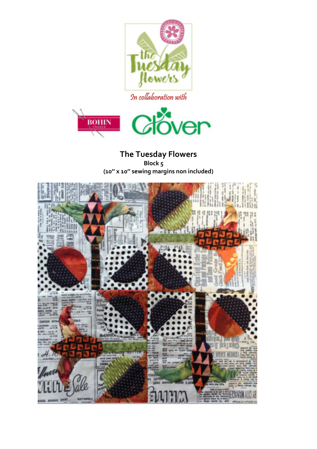



**The Tuesday Flowers Block 5 (10'' x 10'' sewing margins non included)** 

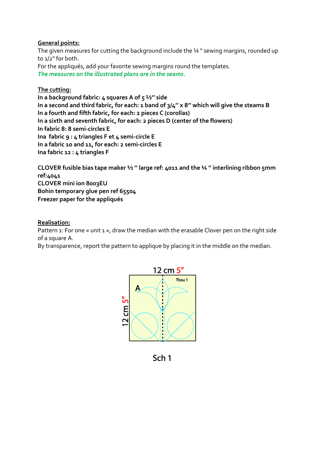## **General points:**

The given measures for cutting the background include the 14" sewing margins, rounded up to 1/2" for both. For the appliqués, add your favorite sewing margins round the templates. *The measures on the illustrated plans are in the seams.* 

## **The cutting:**

**In a background fabric: 4 squares A of 5 ½'' side In a second and third fabric, for each: 1 band of 3/4'' x 8'' which will give the steams B In a fourth and fifth fabric, for each: 2 pieces C (corollas) In a sixth and seventh fabric, for each: 2 pieces D (center of the flowers) In fabric 8: 8 semi-circles E Ina fabric 9 : 4 triangles F et 4 semi-circle E In a fabric 10 and 11, for each: 2 semi-circles E Ina fabric 12 : 4 triangles F** 

**CLOVER fusible bias tape maker ½ '' large ref: 4011 and the ¼ '' interlining ribbon 5mm ref:4041 CLOVER mini ion 8003EU Bohin temporary glue pen ref 65504 Freezer paper for the appliqués** 

## **Realisation:**

Pattern 1: For one « unit 1 », draw the median with the erasable Clover pen on the right side of a square A.

By transparence, report the pattern to applique by placing it in the middle on the median.



Sch<sub>1</sub>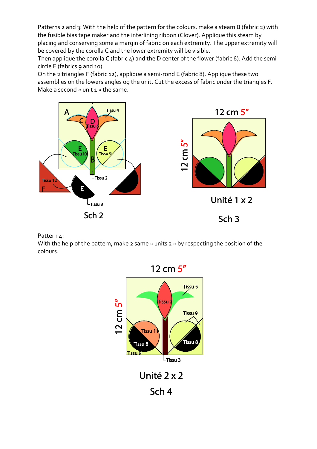Patterns 2 and 3: With the help of the pattern for the colours, make a steam B (fabric 2) with the fusible bias tape maker and the interlining ribbon (Clover). Applique this steam by placing and conserving some a margin of fabric on each extremity. The upper extremity will be covered by the corolla C and the lower extremity will be visible.

Then applique the corolla C (fabric 4) and the D center of the flower (fabric 6). Add the semicircle E (fabrics 9 and 10).

On the 2 triangles F (fabric 12), applique a semi-rond E (fabric 8). Applique these two assemblies on the lowers angles og the unit. Cut the excess of fabric under the triangles F. Make a second « unit 1 » the same.





With the help of the pattern, make 2 same « units 2 » by respecting the position of the colours.